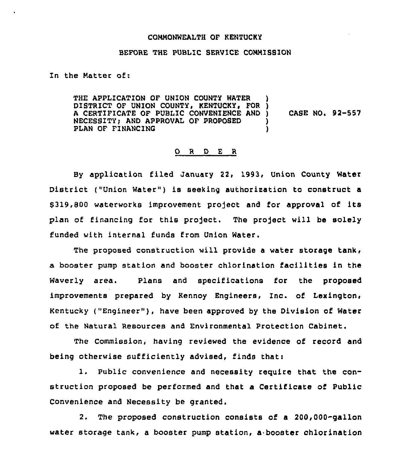## COMMONWEALTH OF KENTUCKY

## BEFORE THE PUBLIC SERVICE COMMISSION

In the Natter of:

THE APPLICATION OF UNION COUNTY WATER DISTRICT OF UNION COUNTY, KENTUCKY, FOR )<br>A CERTIFICATE OF PUBLIC CONVENIENCE AND ) A CERTIFICATE OF PUBLIC CONVENIENCE AND NECESSITY; AND APPROVAL OF PROPOSED PLAN OF FINANCING CASE NO. 92-557

## 0 <sup>R</sup> <sup>D</sup> <sup>E</sup> <sup>R</sup>

By application filed January 22, 1993, Union County Water District ("Union Water") is seeking authorization to construct a 9319,800 waterworks improvement pro)ect and for approval of its plan of financing for this project. The project will be solely funded with internal funds from Union Water.

The proposed construction will provide a water storage tank, a booster pump station and booster chlorination facilities in the Waverly area. Plans and specifications for the proposed improvements prepared by Kennoy Engineers, Inc. of Lexington, Kentucky ("Engineer"), have been approved by the Division of Water of the Natural Resources and Environmental Protection Cabinet.

The Commission, having reviewed the evidence of record and being otherwise sufficiently advised, finds that:

1. Public convenience and necessity require that the construction proposed be performed and that a Certificate of Public Convenience and Necessity be granted.

2. The proposed construction consists of a 200,000-gallon water storage tank, a booster pump station, a booster chlorination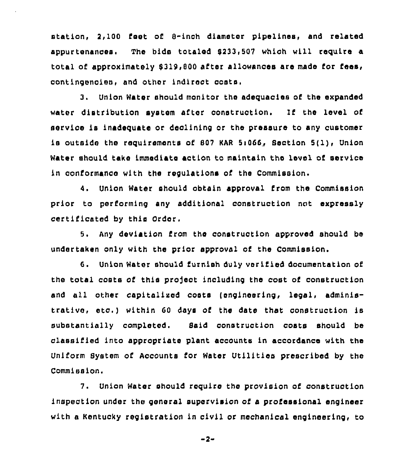station, 2,100 feet of 8-inch diameter pipelines, and related appurtenances. The bids totaled  $$233,507$  which will require a total of approximately \$319,800 after allowances are made for fees, contingencies, and other indirect oosta,

3. Union Water should monitor the adequacies of the expanded water distribution system after construction. If the level of servioe is inadequate or declining or tho pressure to any customer Ls outside the requirements of <sup>007</sup> KAR 5i066,, Section 5( 1), Union Water should take Lmmediate action to maintain tho level of service ln conformance with the regulations of the Commission.

4. Union Water should obtain approval from the Commission prior to performing any additional construction not expressly certificated by this Order,

5. Any deviation from tho construction approvod should be undertaken only with the prior approval of the Commission.

6. Union Water should furnish duly verified documentation of the total costs of this project including the cost of construction and all other capitalized costs (engineering, legal, administrative, etc.) within 60 days of the date that construction is substantially completed. Said oonstruction costs should be classified into appropriate plant accounts in accordance with the Uniform System of Accounts for Water Utilities prescribed by the Commission.

7. Union Water should require the provision of construction inspection under the general supervision of a professional engineer with a Kentucky registration in civil or mechanical engineering, to

 $-2-$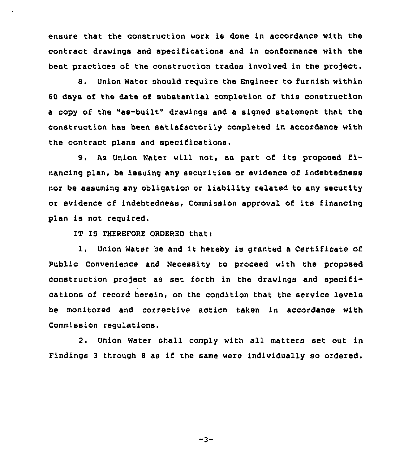ensure that the construction work is done in accordance with the contract drawings and specifications and in conformance with the best practices of the construction trades involved in the project.

8. Union Water should reguire the Engineer to furnish within 60 days of the date of substantial completion of this construction a copy of the "as-built" drawings and a signed statement that the construction has been satisfactorily completed in accordance with the contract plans and specifications.

9, As Union Water will not, as part of its proposed financing plan, be issuing any securities or evidence of indebtedness nor be assuming any obligation or liability related to any security or evidence of indebtedness, Commission approval of its financing plan is not reguired,

IT IS THEREFORE ORDERED that:

l. Union Water be and it hereby is granted <sup>a</sup> Certificate of Public Convenience and Necessity to proceed with the proposed construction project as set forth in the drawings and specifications of record herein, on the condition that the service levels be monitored and corrective action taken in accordance with Commission regulations.

2. Union Water shall comply with all matters set out in Findings <sup>3</sup> through <sup>8</sup> as if the same were individually so ordered.

 $-3-$